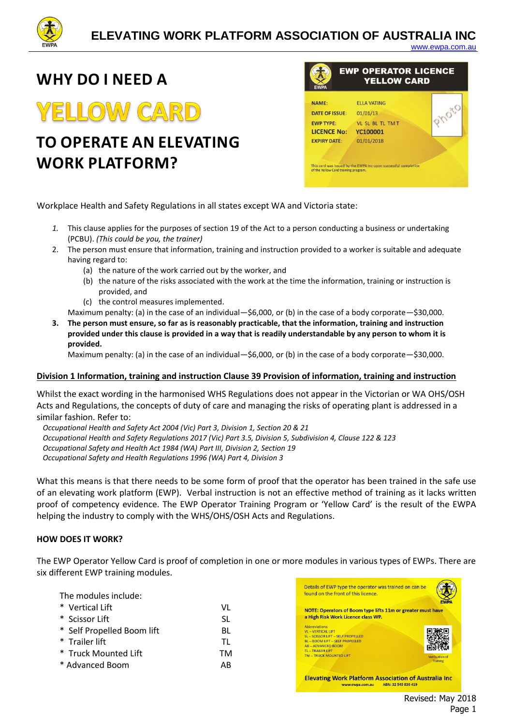

#### [www.ewpa.com.au](http://www.ewpa.com.au/)

### **WHY DO I NEED A**

# **YELLOW CARD**

## **TO OPERATE AN ELEVATING WORK PLATFORM?**



Workplace Health and Safety Regulations in all states except WA and Victoria state:

- *1.* This clause applies for the purposes of section 19 of the Act to a person conducting a business or undertaking (PCBU). *(This could be you, the trainer)*
- 2. The person must ensure that information, training and instruction provided to a worker is suitable and adequate having regard to:
	- (a) the nature of the work carried out by the worker, and
	- (b) the nature of the risks associated with the work at the time the information, training or instruction is provided, and
	- (c) the control measures implemented.

Maximum penalty: (a) in the case of an individual—\$6,000, or (b) in the case of a body corporate—\$30,000.

**3. The person must ensure, so far as is reasonably practicable, that the information, training and instruction provided under this clause is provided in a way that is readily understandable by any person to whom it is provided.** 

Maximum penalty: (a) in the case of an individual—\$6,000, or (b) in the case of a body corporate—\$30,000.

#### **[Division 1 Information, training and instruction Clause 39 Provision of information, training and instruction](https://www.legislation.nsw.gov.au/#/view/regulation/2017/404/chap3/part3.2/div1/sec39)**

Whilst the exact wording in the harmonised WHS Regulations does not appear in the Victorian or WA OHS/OSH Acts and Regulations, the concepts of duty of care and managing the risks of operating plant is addressed in a similar fashion. Refer to:

*Occupational Health and Safety Act 2004 (Vic) Part 3, Division 1, Section 20 & 21 Occupational Health and Safety Regulations 2017 (Vic) Part 3.5, Division 5, Subdivision 4, Clause 122 & 123 Occupational Safety and Health Act 1984 (WA) Part III, Division 2, Section 19 Occupational Safety and Health Regulations 1996 (WA) Part 4, Division 3*

What this means is that there needs to be some form of proof that the operator has been trained in the safe use of an elevating work platform (EWP). Verbal instruction is not an effective method of training as it lacks written proof of competency evidence. The EWP Operator Training Program or 'Yellow Card' is the result of the EWPA helping the industry to comply with the WHS/OHS/OSH Acts and Regulations.

#### **HOW DOES IT WORK?**

The EWP Operator Yellow Card is proof of completion in one or more modules in various types of EWPs. There are six different EWP training modules.

The modules include: \* Vertical Lift \* Scissor Lift \* Self Propelled Boom lift \* Trailer lift \* Truck Mounted Lift \* Advanced Boom VL SL BL TL TM AB



 Revised: May 2018 Page 1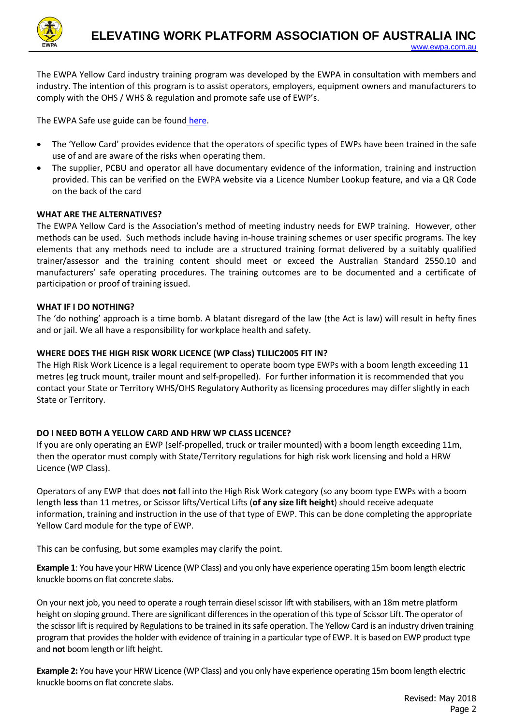

The EWPA Yellow Card industry training program was developed by the EWPA in consultation with members and industry. The intention of this program is to assist operators, employers, equipment owners and manufacturers to comply with the OHS / WHS & regulation and promote safe use of EWP's.

The EWPA Safe use guide can be found [here.](https://www.ewpa.com.au/uploads/Information%20Sheets/EWP%20Safe%20Use%20Info%20Pack%20-%20Issue%2003%20-%20March%202013.pdf)

- The 'Yellow Card' provides evidence that the operators of specific types of EWPs have been trained in the safe use of and are aware of the risks when operating them.
- The supplier, PCBU and operator all have documentary evidence of the information, training and instruction provided. This can be verified on the EWPA website via a Licence Number Lookup feature, and via a QR Code on the back of the card

#### **WHAT ARE THE ALTERNATIVES?**

The EWPA Yellow Card is the Association's method of meeting industry needs for EWP training. However, other methods can be used. Such methods include having in-house training schemes or user specific programs. The key elements that any methods need to include are a structured training format delivered by a suitably qualified trainer/assessor and the training content should meet or exceed the Australian Standard 2550.10 and manufacturers' safe operating procedures. The training outcomes are to be documented and a certificate of participation or proof of training issued.

#### **WHAT IF I DO NOTHING?**

The 'do nothing' approach is a time bomb. A blatant disregard of the law (the Act is law) will result in hefty fines and or jail. We all have a responsibility for workplace health and safety.

#### **WHERE DOES THE HIGH RISK WORK LICENCE (WP Class) TLILIC2005 FIT IN?**

The High Risk Work Licence is a legal requirement to operate boom type EWPs with a boom length exceeding 11 metres (eg truck mount, trailer mount and self-propelled). For further information it is recommended that you contact your State or Territory WHS/OHS Regulatory Authority as licensing procedures may differ slightly in each State or Territory.

#### **DO I NEED BOTH A YELLOW CARD AND HRW WP CLASS LICENCE?**

If you are only operating an EWP (self-propelled, truck or trailer mounted) with a boom length exceeding 11m, then the operator must comply with State/Territory regulations for high risk work licensing and hold a HRW Licence (WP Class).

Operators of any EWP that does **not** fall into the High Risk Work category (so any boom type EWPs with a boom length **less** than 11 metres, or Scissor lifts/Vertical Lifts (**of any size lift height**) should receive adequate information, training and instruction in the use of that type of EWP. This can be done completing the appropriate Yellow Card module for the type of EWP.

This can be confusing, but some examples may clarify the point.

**Example 1**: You have your HRW Licence (WP Class) and you only have experience operating 15m boom length electric knuckle booms on flat concrete slabs.

On your next job, you need to operate a rough terrain diesel scissor lift with stabilisers, with an 18m metre platform height on sloping ground. There are significant differences in the operation of this type of Scissor Lift. The operator of the scissor lift is required by Regulations to be trained in its safe operation. The Yellow Card is an industry driven training program that provides the holder with evidence of training in a particular type of EWP. It is based on EWP product type and **not** boom length or lift height.

**Example 2:** You have your HRW Licence (WP Class) and you only have experience operating 15m boom length electric knuckle booms on flat concrete slabs.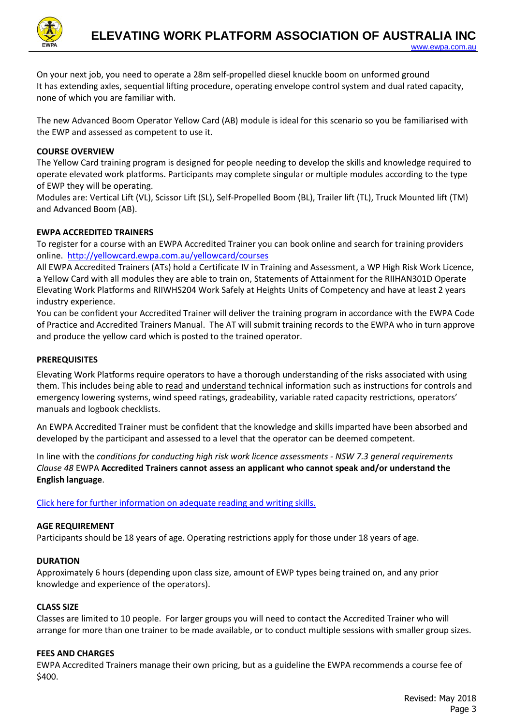

[www.ewpa.com.au](http://www.ewpa.com.au/)

On your next job, you need to operate a 28m self-propelled diesel knuckle boom on unformed ground It has extending axles, sequential lifting procedure, operating envelope control system and dual rated capacity, none of which you are familiar with.

The new Advanced Boom Operator Yellow Card (AB) module is ideal for this scenario so you be familiarised with the EWP and assessed as competent to use it.

#### **COURSE OVERVIEW**

The Yellow Card training program is designed for people needing to develop the skills and knowledge required to operate elevated work platforms. Participants may complete singular or multiple modules according to the type of EWP they will be operating.

Modules are: Vertical Lift (VL), Scissor Lift (SL), Self-Propelled Boom (BL), Trailer lift (TL), Truck Mounted lift (TM) and Advanced Boom (AB).

#### **EWPA ACCREDITED TRAINERS**

To register for a course with an EWPA Accredited Trainer you can book online and search for training providers online. <http://yellowcard.ewpa.com.au/yellowcard/courses>

All EWPA Accredited Trainers (ATs) hold a Certificate IV in Training and Assessment, a WP High Risk Work Licence, a Yellow Card with all modules they are able to train on, Statements of Attainment for the RIIHAN301D Operate Elevating Work Platforms and RIIWHS204 Work Safely at Heights Units of Competency and have at least 2 years industry experience.

You can be confident your Accredited Trainer will deliver the training program in accordance with the EWPA Code of Practice and Accredited Trainers Manual. The AT will submit training records to the EWPA who in turn approve and produce the yellow card which is posted to the trained operator.

#### **PREREQUISITES**

Elevating Work Platforms require operators to have a thorough understanding of the risks associated with using them. This includes being able to read and understand technical information such as instructions for controls and emergency lowering systems, wind speed ratings, gradeability, variable rated capacity restrictions, operators' manuals and logbook checklists.

An EWPA Accredited Trainer must be confident that the knowledge and skills imparted have been absorbed and developed by the participant and assessed to a level that the operator can be deemed competent.

In line with the *conditions for conducting high risk work licence assessments - NSW 7.3 general requirements Clause 48* EWPA **Accredited Trainers cannot assess an applicant who cannot speak and/or understand the English language**.

[Click here for further information on adequate reading and writing skills.](https://www.ewpa.com.au/uploads/Information%20Sheets/YC%20GC%20participant%20with%20inadequate%20reading%20and%20writing%20skills%20June%202018.pdf)

#### **AGE REQUIREMENT**

Participants should be 18 years of age. Operating restrictions apply for those under 18 years of age.

#### **DURATION**

Approximately 6 hours (depending upon class size, amount of EWP types being trained on, and any prior knowledge and experience of the operators).

#### **CLASS SIZE**

Classes are limited to 10 people. For larger groups you will need to contact the Accredited Trainer who will arrange for more than one trainer to be made available, or to conduct multiple sessions with smaller group sizes.

#### **FEES AND CHARGES**

EWPA Accredited Trainers manage their own pricing, but as a guideline the EWPA recommends a course fee of \$400.